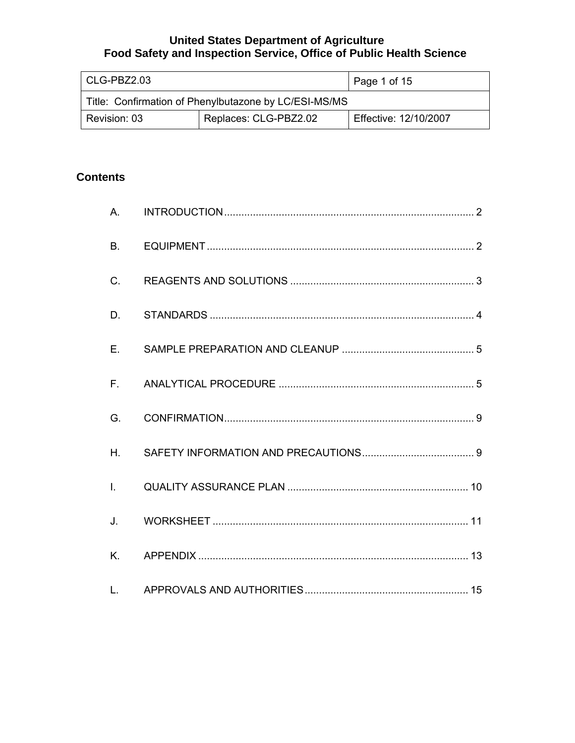| l CLG-PBZ2.03                                         |  | Page 1 of 15          |
|-------------------------------------------------------|--|-----------------------|
| Title: Confirmation of Phenylbutazone by LC/ESI-MS/MS |  |                       |
| Replaces: CLG-PBZ2.02<br>Revision: 03                 |  | Effective: 12/10/2007 |

# **Contents**

| $A_{1}$      |  |
|--------------|--|
| <b>B.</b>    |  |
| C.           |  |
| D.           |  |
| E.           |  |
| $F_{\rm{H}}$ |  |
| G.           |  |
| H.           |  |
| $\mathbf{L}$ |  |
| J.           |  |
| K.           |  |
|              |  |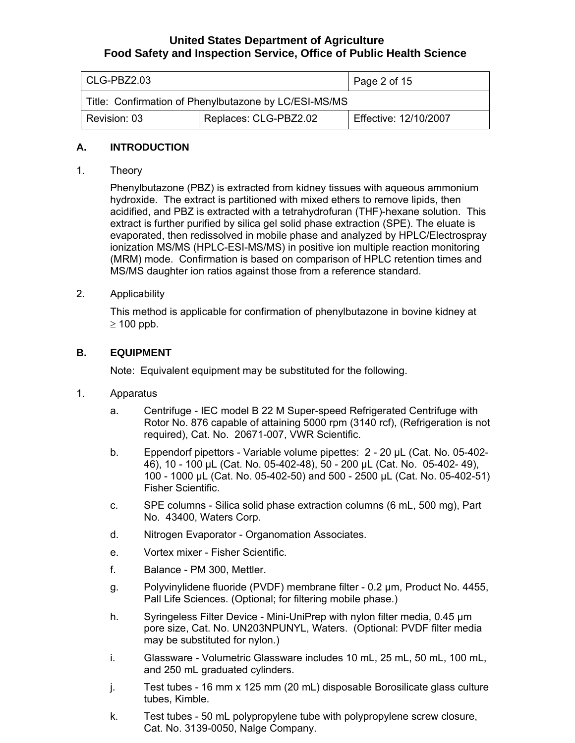| l CLG-PBZ2.03                                         |  | Page 2 of $15$        |
|-------------------------------------------------------|--|-----------------------|
| Title: Confirmation of Phenylbutazone by LC/ESI-MS/MS |  |                       |
| Replaces: CLG-PBZ2.02<br>Revision: 03                 |  | Effective: 12/10/2007 |

### **A. INTRODUCTION**

1. Theory

Phenylbutazone (PBZ) is extracted from kidney tissues with aqueous ammonium hydroxide. The extract is partitioned with mixed ethers to remove lipids, then acidified, and PBZ is extracted with a tetrahydrofuran (THF)-hexane solution. This extract is further purified by silica gel solid phase extraction (SPE). The eluate is evaporated, then redissolved in mobile phase and analyzed by HPLC/Electrospray ionization MS/MS (HPLC-ESI-MS/MS) in positive ion multiple reaction monitoring (MRM) mode. Confirmation is based on comparison of HPLC retention times and MS/MS daughter ion ratios against those from a reference standard.

### 2. Applicability

This method is applicable for confirmation of phenylbutazone in bovine kidney at  $\geq 100$  ppb.

### **B. EQUIPMENT**

Note: Equivalent equipment may be substituted for the following.

- 1. Apparatus
	- a. Centrifuge IEC model B 22 M Super-speed Refrigerated Centrifuge with Rotor No. 876 capable of attaining 5000 rpm (3140 rcf), (Refrigeration is not required), Cat. No. 20671-007, VWR Scientific.
	- b. Eppendorf pipettors Variable volume pipettes: 2 20 µL (Cat. No. 05-402- 46), 10 - 100 µL (Cat. No. 05-402-48), 50 - 200 µL (Cat. No. 05-402- 49), 100 - 1000 µL (Cat. No. 05-402-50) and 500 - 2500 µL (Cat. No. 05-402-51) Fisher Scientific.
	- c. SPE columns Silica solid phase extraction columns (6 mL, 500 mg), Part No. 43400, Waters Corp.
	- d. Nitrogen Evaporator Organomation Associates.
	- e. Vortex mixer Fisher Scientific.
	- f. Balance PM 300, Mettler.
	- g. Polyvinylidene fluoride (PVDF) membrane filter 0.2 µm, Product No. 4455, Pall Life Sciences. (Optional; for filtering mobile phase.)
	- h. Syringeless Filter Device Mini-UniPrep with nylon filter media, 0.45 µm pore size, Cat. No. UN203NPUNYL, Waters. (Optional: PVDF filter media may be substituted for nylon.)
	- i. Glassware Volumetric Glassware includes 10 mL, 25 mL, 50 mL, 100 mL, and 250 mL graduated cylinders.
	- j. Test tubes 16 mm x 125 mm (20 mL) disposable Borosilicate glass culture tubes, Kimble.
	- k. Test tubes 50 mL polypropylene tube with polypropylene screw closure, Cat. No. 3139-0050, Nalge Company.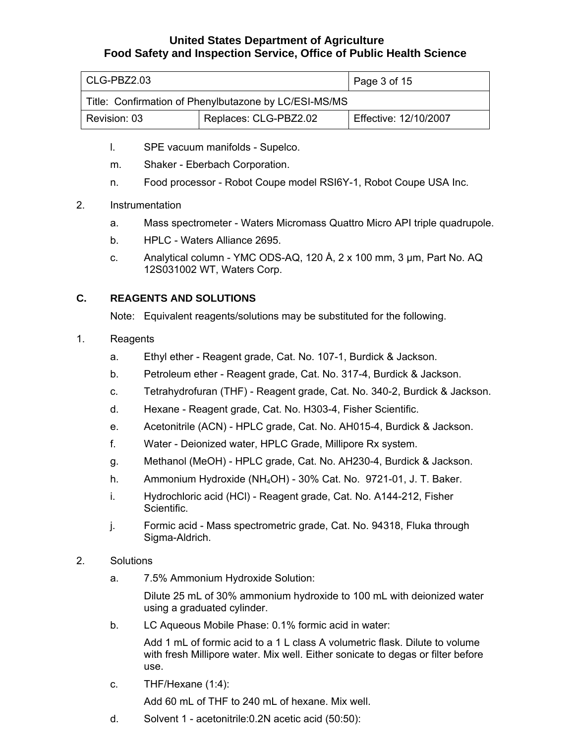| l CLG-PBZ2.03                                         |  | $\vert$ Page 3 of 15  |
|-------------------------------------------------------|--|-----------------------|
| Title: Confirmation of Phenylbutazone by LC/ESI-MS/MS |  |                       |
| Replaces: CLG-PBZ2.02<br>Revision: 03                 |  | Effective: 12/10/2007 |

- l. SPE vacuum manifolds Supelco.
- m. Shaker Eberbach Corporation.
- n. Food processor Robot Coupe model RSI6Y-1, Robot Coupe USA Inc.
- 2. Instrumentation
	- a. Mass spectrometer Waters Micromass Quattro Micro API triple quadrupole.
	- b. HPLC Waters Alliance 2695.
	- c. Analytical column YMC ODS-AQ, 120 Å,  $2 \times 100$  mm,  $3 \mu$ m, Part No. AQ 12S031002 WT, Waters Corp.

### **C. REAGENTS AND SOLUTIONS**

Note: Equivalent reagents/solutions may be substituted for the following.

- 1. Reagents
	- a. Ethyl ether Reagent grade, Cat. No. 107-1, Burdick & Jackson.
	- b. Petroleum ether Reagent grade, Cat. No. 317-4, Burdick & Jackson.
	- c. Tetrahydrofuran (THF) Reagent grade, Cat. No. 340-2, Burdick & Jackson.
	- d. Hexane Reagent grade, Cat. No. H303-4, Fisher Scientific.
	- e. Acetonitrile (ACN) HPLC grade, Cat. No. AH015-4, Burdick & Jackson.
	- f. Water Deionized water, HPLC Grade, Millipore Rx system.
	- g. Methanol (MeOH) HPLC grade, Cat. No. AH230-4, Burdick & Jackson.
	- h. Ammonium Hydroxide (NH4OH) 30% Cat. No. 9721-01, J. T. Baker.
	- i. Hydrochloric acid (HCl) Reagent grade, Cat. No. A144-212, Fisher Scientific.
	- j. Formic acid Mass spectrometric grade, Cat. No. 94318, Fluka through Sigma-Aldrich.
- 2. Solutions
	- a. 7.5% Ammonium Hydroxide Solution:

Dilute 25 mL of 30% ammonium hydroxide to 100 mL with deionized water using a graduated cylinder.

b. LC Aqueous Mobile Phase: 0.1% formic acid in water:

Add 1 mL of formic acid to a 1 L class A volumetric flask. Dilute to volume with fresh Millipore water. Mix well. Either sonicate to degas or filter before use.

c. THF/Hexane (1:4):

Add 60 mL of THF to 240 mL of hexane. Mix well.

d. Solvent 1 - acetonitrile:0.2N acetic acid (50:50):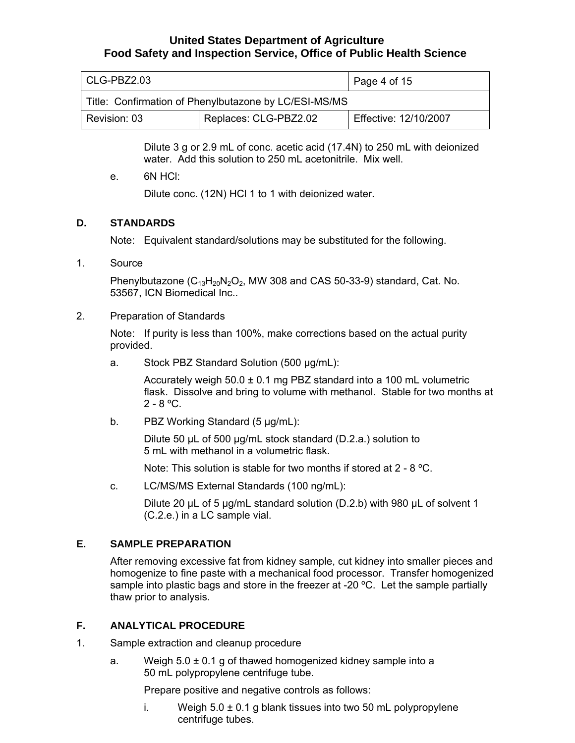| l CLG-PBZ2.03                                         |  | Page 4 of 15          |
|-------------------------------------------------------|--|-----------------------|
| Title: Confirmation of Phenylbutazone by LC/ESI-MS/MS |  |                       |
| Replaces: CLG-PBZ2.02<br>Revision: 03                 |  | Effective: 12/10/2007 |

Dilute 3 g or 2.9 mL of conc. acetic acid (17.4N) to 250 mL with deionized water. Add this solution to 250 mL acetonitrile. Mix well.

e. 6N HCl:

Dilute conc. (12N) HCl 1 to 1 with deionized water.

### **D. STANDARDS**

Note: Equivalent standard/solutions may be substituted for the following.

1. Source

Phenylbutazone  $(C_{13}H_{20}N_2O_2$ , MW 308 and CAS 50-33-9) standard, Cat. No. 53567, ICN Biomedical Inc..

2. Preparation of Standards

Note: If purity is less than 100%, make corrections based on the actual purity provided.

a. Stock PBZ Standard Solution (500 µg/mL):

Accurately weigh  $50.0 \pm 0.1$  mg PBZ standard into a 100 mL volumetric flask. Dissolve and bring to volume with methanol. Stable for two months at  $2 - 8 °C$ .

b. PBZ Working Standard (5 µg/mL):

Dilute 50 µL of 500 µg/mL stock standard (D.2.a.) solution to 5 mL with methanol in a volumetric flask.

Note: This solution is stable for two months if stored at 2 - 8 ºC.

c. LC/MS/MS External Standards (100 ng/mL):

Dilute 20 µL of 5 μg/mL standard solution (D.2.b) with 980 µL of solvent 1 (C.2.e.) in a LC sample vial.

### **E. SAMPLE PREPARATION**

After removing excessive fat from kidney sample, cut kidney into smaller pieces and homogenize to fine paste with a mechanical food processor. Transfer homogenized sample into plastic bags and store in the freezer at -20 ºC. Let the sample partially thaw prior to analysis.

### **F. ANALYTICAL PROCEDURE**

- 1. Sample extraction and cleanup procedure
	- a. Weigh  $5.0 \pm 0.1$  g of thawed homogenized kidney sample into a 50 mL polypropylene centrifuge tube.

Prepare positive and negative controls as follows:

i. Weigh  $5.0 \pm 0.1$  g blank tissues into two 50 mL polypropylene centrifuge tubes.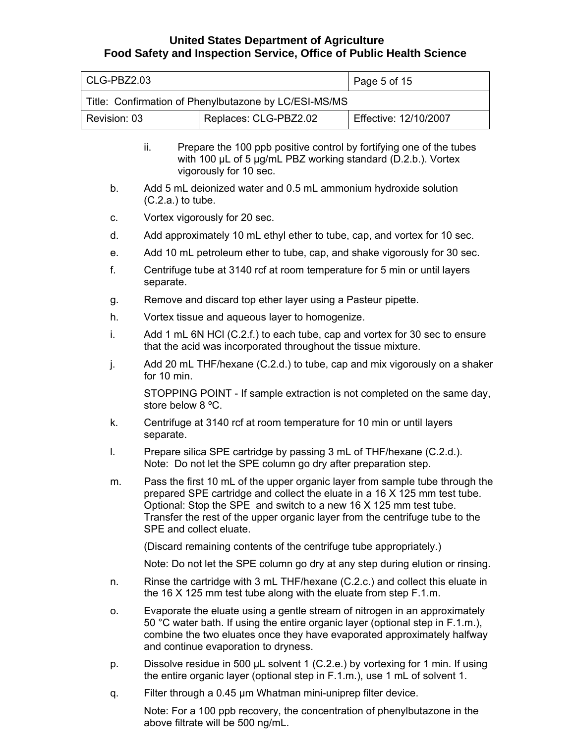| CLG-PBZ2.03                                                                                                                                                          |                                                                                                                                                                                                                                                                                                                                           | Page 5 of 15                                                  |                                                                                                                                                              |
|----------------------------------------------------------------------------------------------------------------------------------------------------------------------|-------------------------------------------------------------------------------------------------------------------------------------------------------------------------------------------------------------------------------------------------------------------------------------------------------------------------------------------|---------------------------------------------------------------|--------------------------------------------------------------------------------------------------------------------------------------------------------------|
| Title: Confirmation of Phenylbutazone by LC/ESI-MS/MS                                                                                                                |                                                                                                                                                                                                                                                                                                                                           |                                                               |                                                                                                                                                              |
| Revision: 03                                                                                                                                                         |                                                                                                                                                                                                                                                                                                                                           | Replaces: CLG-PBZ2.02                                         | Effective: 12/10/2007                                                                                                                                        |
| ii.<br>Prepare the 100 ppb positive control by fortifying one of the tubes<br>with 100 µL of 5 µg/mL PBZ working standard (D.2.b.). Vortex<br>vigorously for 10 sec. |                                                                                                                                                                                                                                                                                                                                           |                                                               |                                                                                                                                                              |
| b.                                                                                                                                                                   | $(C.2.a.)$ to tube.                                                                                                                                                                                                                                                                                                                       |                                                               | Add 5 mL deionized water and 0.5 mL ammonium hydroxide solution                                                                                              |
| C.                                                                                                                                                                   |                                                                                                                                                                                                                                                                                                                                           | Vortex vigorously for 20 sec.                                 |                                                                                                                                                              |
| d.                                                                                                                                                                   |                                                                                                                                                                                                                                                                                                                                           |                                                               | Add approximately 10 mL ethyl ether to tube, cap, and vortex for 10 sec.                                                                                     |
| е.                                                                                                                                                                   |                                                                                                                                                                                                                                                                                                                                           |                                                               | Add 10 mL petroleum ether to tube, cap, and shake vigorously for 30 sec.                                                                                     |
| f.                                                                                                                                                                   | separate.                                                                                                                                                                                                                                                                                                                                 |                                                               | Centrifuge tube at 3140 rcf at room temperature for 5 min or until layers                                                                                    |
| g.                                                                                                                                                                   |                                                                                                                                                                                                                                                                                                                                           | Remove and discard top ether layer using a Pasteur pipette.   |                                                                                                                                                              |
| h.                                                                                                                                                                   |                                                                                                                                                                                                                                                                                                                                           | Vortex tissue and aqueous layer to homogenize.                |                                                                                                                                                              |
| i.                                                                                                                                                                   |                                                                                                                                                                                                                                                                                                                                           | that the acid was incorporated throughout the tissue mixture. | Add 1 mL 6N HCl (C.2.f.) to each tube, cap and vortex for 30 sec to ensure                                                                                   |
| j.                                                                                                                                                                   | Add 20 mL THF/hexane (C.2.d.) to tube, cap and mix vigorously on a shaker<br>for 10 min.                                                                                                                                                                                                                                                  |                                                               |                                                                                                                                                              |
|                                                                                                                                                                      | STOPPING POINT - If sample extraction is not completed on the same day,<br>store below 8 °C.                                                                                                                                                                                                                                              |                                                               |                                                                                                                                                              |
| k.                                                                                                                                                                   | Centrifuge at 3140 rcf at room temperature for 10 min or until layers<br>separate.                                                                                                                                                                                                                                                        |                                                               |                                                                                                                                                              |
| I.                                                                                                                                                                   | Prepare silica SPE cartridge by passing 3 mL of THF/hexane (C.2.d.).<br>Note: Do not let the SPE column go dry after preparation step.                                                                                                                                                                                                    |                                                               |                                                                                                                                                              |
| m.                                                                                                                                                                   | Pass the first 10 mL of the upper organic layer from sample tube through the<br>prepared SPE cartridge and collect the eluate in a 16 X 125 mm test tube.<br>Optional: Stop the SPE and switch to a new 16 X 125 mm test tube.<br>Transfer the rest of the upper organic layer from the centrifuge tube to the<br>SPE and collect eluate. |                                                               |                                                                                                                                                              |
| (Discard remaining contents of the centrifuge tube appropriately.)                                                                                                   |                                                                                                                                                                                                                                                                                                                                           |                                                               |                                                                                                                                                              |
| Note: Do not let the SPE column go dry at any step during elution or rinsing.                                                                                        |                                                                                                                                                                                                                                                                                                                                           |                                                               |                                                                                                                                                              |
| n.                                                                                                                                                                   | Rinse the cartridge with 3 mL THF/hexane (C.2.c.) and collect this eluate in<br>the 16 $\times$ 125 mm test tube along with the eluate from step F.1.m.                                                                                                                                                                                   |                                                               |                                                                                                                                                              |
| 0.                                                                                                                                                                   | Evaporate the eluate using a gentle stream of nitrogen in an approximately<br>50 °C water bath. If using the entire organic layer (optional step in F.1.m.),<br>combine the two eluates once they have evaporated approximately halfway<br>and continue evaporation to dryness.                                                           |                                                               |                                                                                                                                                              |
| p.                                                                                                                                                                   |                                                                                                                                                                                                                                                                                                                                           |                                                               | Dissolve residue in 500 µL solvent 1 (C.2.e.) by vortexing for 1 min. If using<br>the entire organic layer (optional step in F.1.m.), use 1 mL of solvent 1. |
| q.                                                                                                                                                                   |                                                                                                                                                                                                                                                                                                                                           | Filter through a 0.45 µm Whatman mini-uniprep filter device.  |                                                                                                                                                              |

Note: For a 100 ppb recovery, the concentration of phenylbutazone in the above filtrate will be 500 ng/mL.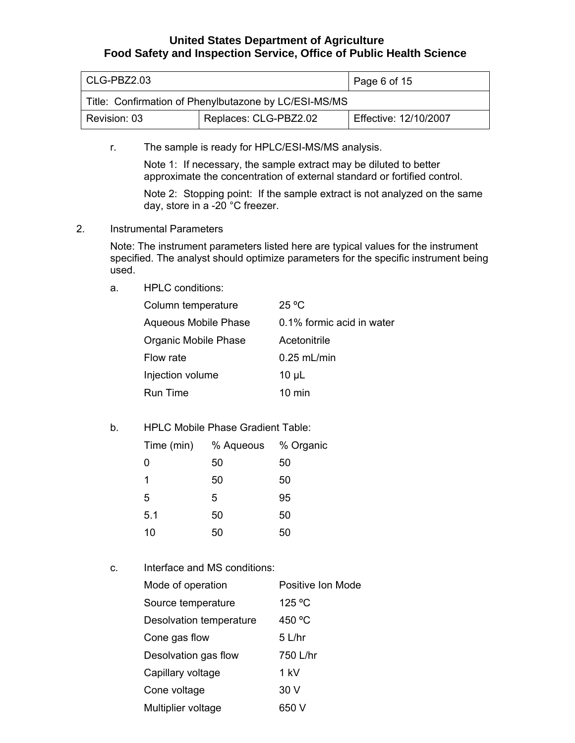| CLG-PBZ2.03                                           |  | Page 6 of 15          |
|-------------------------------------------------------|--|-----------------------|
| Title: Confirmation of Phenylbutazone by LC/ESI-MS/MS |  |                       |
| Replaces: CLG-PBZ2.02<br>Revision: 03                 |  | Effective: 12/10/2007 |

r. The sample is ready for HPLC/ESI-MS/MS analysis.

Note 1: If necessary, the sample extract may be diluted to better approximate the concentration of external standard or fortified control.

Note 2: Stopping point: If the sample extract is not analyzed on the same day, store in a -20 °C freezer.

2. Instrumental Parameters

Note: The instrument parameters listed here are typical values for the instrument specified. The analyst should optimize parameters for the specific instrument being used.

a. HPLC conditions:

| Column temperature   | $25 \text{ °C}$           |
|----------------------|---------------------------|
| Aqueous Mobile Phase | 0.1% formic acid in water |
| Organic Mobile Phase | Acetonitrile              |
| Flow rate            | $0.25$ mL/min             |
| Injection volume     | $10 \mu L$                |
| <b>Run Time</b>      | $10 \text{ min}$          |

b. HPLC Mobile Phase Gradient Table:

| Time (min) | % Aqueous % Organic |    |
|------------|---------------------|----|
| O          | 50                  | 50 |
| 1          | 50                  | 50 |
| 5          | 5                   | 95 |
| 5.1        | 50                  | 50 |
| 10         | 50                  | 50 |
|            |                     |    |

c. Interface and MS conditions:

| Mode of operation       | Positive Ion Mode |
|-------------------------|-------------------|
| Source temperature      | 125 °C            |
| Desolvation temperature | 450 °C            |
| Cone gas flow           | 5 L/hr            |
| Desolvation gas flow    | 750 L/hr          |
| Capillary voltage       | 1 kV              |
| Cone voltage            | 30 V              |
| Multiplier voltage      | 650               |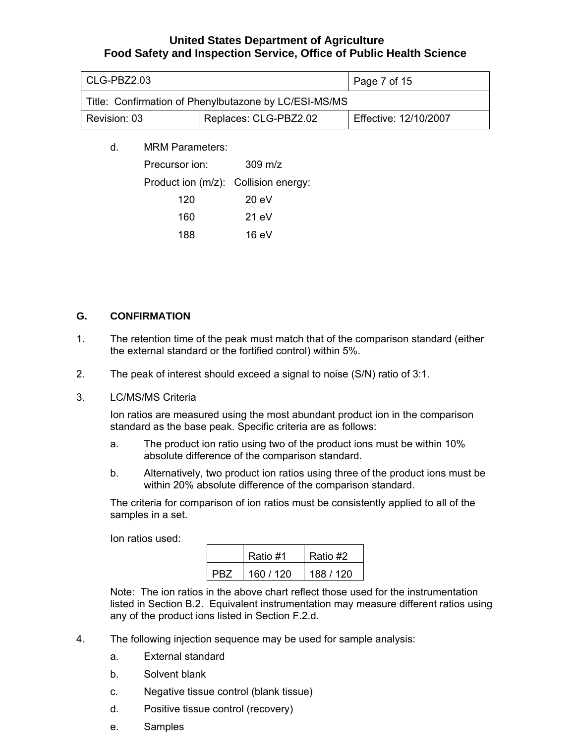| l CLG-PBZ2.03                                         |  | Page 7 of 15          |
|-------------------------------------------------------|--|-----------------------|
| Title: Confirmation of Phenylbutazone by LC/ESI-MS/MS |  |                       |
| Replaces: CLG-PBZ2.02<br>Revision: 03                 |  | Effective: 12/10/2007 |

d. MRM Parameters:

| $309 \text{ m/z}$                    |
|--------------------------------------|
| Product ion (m/z): Collision energy: |
| 20 eV                                |
| 21 eV                                |
| 16 eV                                |
|                                      |

### **G. CONFIRMATION**

- 1. The retention time of the peak must match that of the comparison standard (either the external standard or the fortified control) within 5%.
- 2. The peak of interest should exceed a signal to noise (S/N) ratio of 3:1.
- 3. LC/MS/MS Criteria

Ion ratios are measured using the most abundant product ion in the comparison standard as the base peak. Specific criteria are as follows:

- a. The product ion ratio using two of the product ions must be within 10% absolute difference of the comparison standard.
- b. Alternatively, two product ion ratios using three of the product ions must be within 20% absolute difference of the comparison standard.

The criteria for comparison of ion ratios must be consistently applied to all of the samples in a set.

Ion ratios used:

|     | Ratio #1  | Ratio #2  |  |
|-----|-----------|-----------|--|
| PR7 | 160 / 120 | 188 / 120 |  |

Note: The ion ratios in the above chart reflect those used for the instrumentation listed in Section B.2. Equivalent instrumentation may measure different ratios using any of the product ions listed in Section F.2.d.

- 4. The following injection sequence may be used for sample analysis:
	- a. External standard
	- b. Solvent blank
	- c. Negative tissue control (blank tissue)
	- d. Positive tissue control (recovery)
	- e. Samples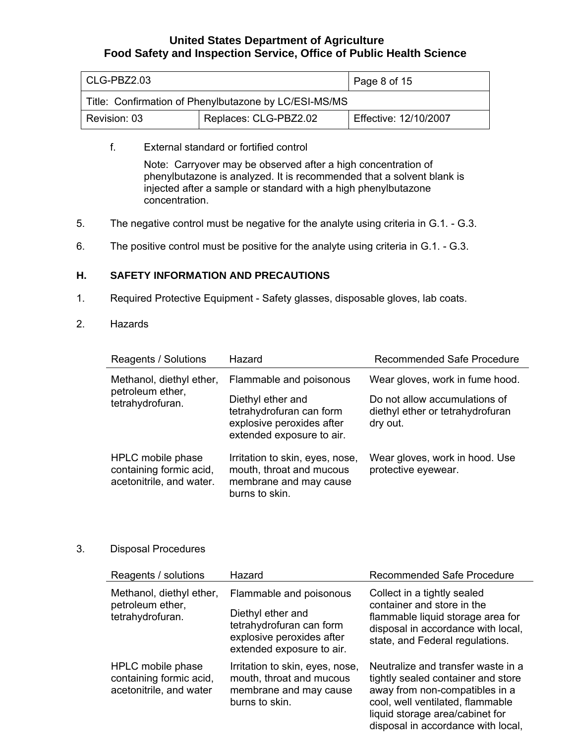| l CLG-PBZ2.03                                         | Page 8 of 15          |                       |  |
|-------------------------------------------------------|-----------------------|-----------------------|--|
| Title: Confirmation of Phenylbutazone by LC/ESI-MS/MS |                       |                       |  |
| Revision: 03                                          | Replaces: CLG-PBZ2.02 | Effective: 12/10/2007 |  |

f. External standard or fortified control

Note: Carryover may be observed after a high concentration of phenylbutazone is analyzed. It is recommended that a solvent blank is injected after a sample or standard with a high phenylbutazone concentration.

- 5. The negative control must be negative for the analyte using criteria in G.1. G.3.
- 6. The positive control must be positive for the analyte using criteria in G.1. G.3.

### **H. SAFETY INFORMATION AND PRECAUTIONS**

- 1. Required Protective Equipment Safety glasses, disposable gloves, lab coats.
- 2. Hazards

| Reagents / Solutions                                                     | Hazard                                                                                                  | <b>Recommended Safe Procedure</b>                                             |  |
|--------------------------------------------------------------------------|---------------------------------------------------------------------------------------------------------|-------------------------------------------------------------------------------|--|
| Methanol, diethyl ether,<br>petroleum ether,<br>tetrahydrofuran.         | Flammable and poisonous                                                                                 | Wear gloves, work in fume hood.                                               |  |
|                                                                          | Diethyl ether and<br>tetrahydrofuran can form<br>explosive peroxides after<br>extended exposure to air. | Do not allow accumulations of<br>diethyl ether or tetrahydrofuran<br>dry out. |  |
| HPLC mobile phase<br>containing formic acid,<br>acetonitrile, and water. | Irritation to skin, eyes, nose,<br>mouth, throat and mucous<br>membrane and may cause<br>burns to skin. | Wear gloves, work in hood. Use<br>protective eyewear.                         |  |

### 3. Disposal Procedures

| Reagents / solutions                                                    | Hazard                                                                                                                             | Recommended Safe Procedure                                                                                                                                                                                              |
|-------------------------------------------------------------------------|------------------------------------------------------------------------------------------------------------------------------------|-------------------------------------------------------------------------------------------------------------------------------------------------------------------------------------------------------------------------|
| Methanol, diethyl ether,<br>petroleum ether,<br>tetrahydrofuran.        | Flammable and poisonous<br>Diethyl ether and<br>tetrahydrofuran can form<br>explosive peroxides after<br>extended exposure to air. | Collect in a tightly sealed<br>container and store in the<br>flammable liquid storage area for<br>disposal in accordance with local,<br>state, and Federal regulations.                                                 |
| HPLC mobile phase<br>containing formic acid,<br>acetonitrile, and water | Irritation to skin, eyes, nose,<br>mouth, throat and mucous<br>membrane and may cause<br>burns to skin.                            | Neutralize and transfer waste in a<br>tightly sealed container and store<br>away from non-compatibles in a<br>cool, well ventilated, flammable<br>liquid storage area/cabinet for<br>disposal in accordance with local, |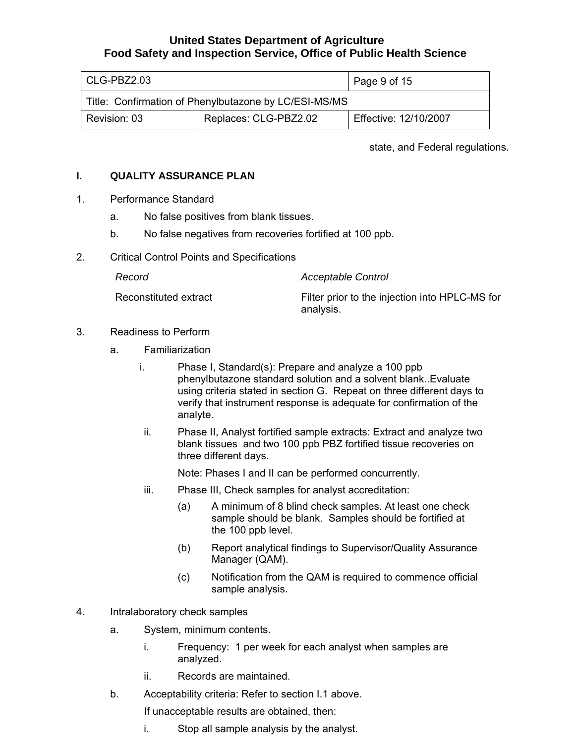| l CLG-PBZ2.03                                         | Page 9 of 15 |                       |
|-------------------------------------------------------|--------------|-----------------------|
| Title: Confirmation of Phenylbutazone by LC/ESI-MS/MS |              |                       |
| Replaces: CLG-PBZ2.02<br>Revision: 03                 |              | Effective: 12/10/2007 |

state, and Federal regulations.

### **I. QUALITY ASSURANCE PLAN**

- 1. Performance Standard
	- a. No false positives from blank tissues.
	- b. No false negatives from recoveries fortified at 100 ppb.
- 2. Critical Control Points and Specifications

*Record Acceptable Control*

Reconstituted extract Filter prior to the injection into HPLC-MS for analysis.

- 3. Readiness to Perform
	- a. Familiarization
		- i. Phase I, Standard(s): Prepare and analyze a 100 ppb phenylbutazone standard solution and a solvent blank..Evaluate using criteria stated in section G. Repeat on three different days to verify that instrument response is adequate for confirmation of the analyte.
		- ii. Phase II, Analyst fortified sample extracts: Extract and analyze two blank tissues and two 100 ppb PBZ fortified tissue recoveries on three different days.

Note: Phases I and II can be performed concurrently.

- iii. Phase III, Check samples for analyst accreditation:
	- (a) A minimum of 8 blind check samples. At least one check sample should be blank. Samples should be fortified at the 100 ppb level.
	- (b) Report analytical findings to Supervisor/Quality Assurance Manager (QAM).
	- (c) Notification from the QAM is required to commence official sample analysis.
- 4. Intralaboratory check samples
	- a. System, minimum contents.
		- i. Frequency: 1 per week for each analyst when samples are analyzed.
		- ii. Records are maintained.
	- b. Acceptability criteria: Refer to section I.1 above.

If unacceptable results are obtained, then:

i. Stop all sample analysis by the analyst.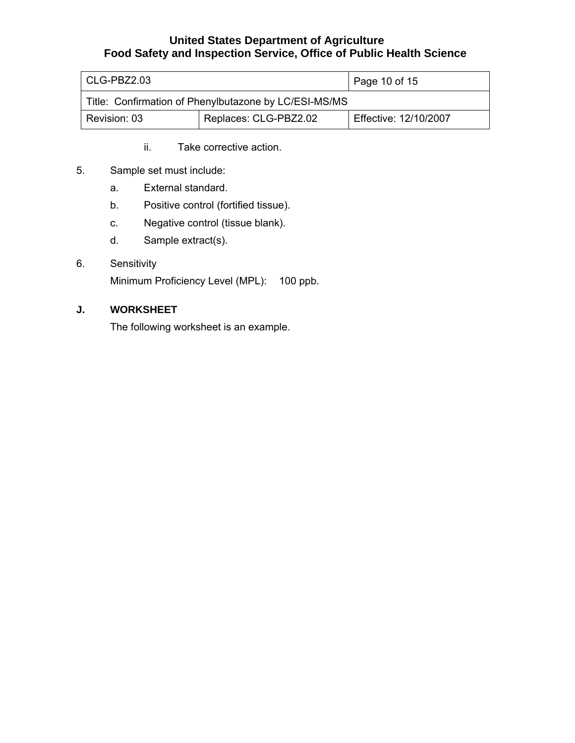| l CLG-PBZ2.03                                         | $P$ age 10 of 15 |                       |  |
|-------------------------------------------------------|------------------|-----------------------|--|
| Title: Confirmation of Phenylbutazone by LC/ESI-MS/MS |                  |                       |  |
| Replaces: CLG-PBZ2.02<br>Revision: 03                 |                  | Effective: 12/10/2007 |  |

- ii. Take corrective action.
- 5. Sample set must include:
	- a. External standard.
	- b. Positive control (fortified tissue).
	- c. Negative control (tissue blank).
	- d. Sample extract(s).

### 6. Sensitivity

Minimum Proficiency Level (MPL): 100 ppb.

### **J. WORKSHEET**

The following worksheet is an example.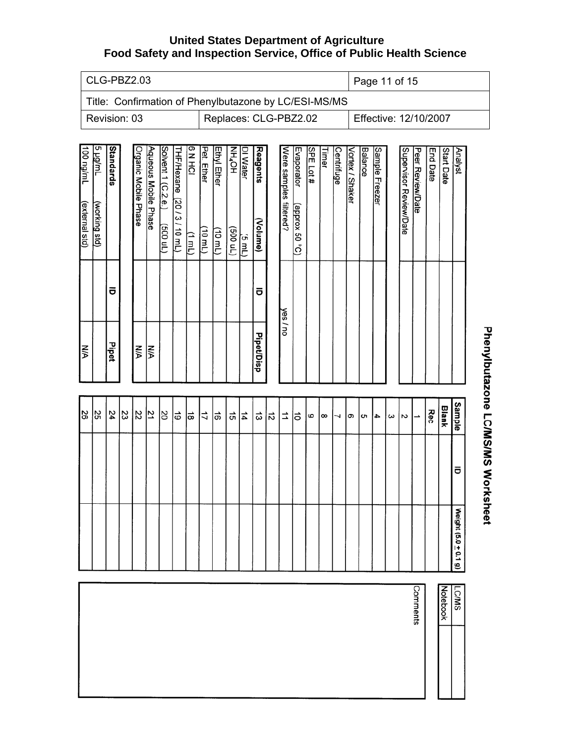CLG-PBZ2.03 Page 11 of 15

Title: Confirmation of Phenylbutazone by LC/ESI-MS/MS

Revision: 03 Replaces: CLG-PBZ2.02 Effective: 12/10/2007

| ŠΝ        |   | 1m/gn 001<br>(external std)               |
|-----------|---|-------------------------------------------|
|           |   | Juifon <sub>S</sub><br>(working std)      |
| Pipet     | ៑ | Standards                                 |
|           |   |                                           |
| УN        |   | Organic Mobile<br>Phase                   |
| УĀ        |   | Aqueous Mobile Phase                      |
|           |   | Solvent 1 (C.2.e.)<br>(7n)                |
|           |   | THF/Hexane<br>$(20/3/10 \text{ m})$       |
|           |   | IOHN <sub>9</sub><br><u>(ا mل</u>         |
|           |   | Pet. Ether<br>(70.01)                     |
|           |   | <b>Ethyl Ether</b><br>$(10 \text{ m})$    |
|           |   | HO <sup>*</sup> HN<br>(7n00S)             |
|           |   | DI Water<br>(5 mL)                        |
| PipetDisp | ō | <b>Reagents</b><br>(Volume)               |
|           |   |                                           |
| yes / no  |   | Were samples filtered?                    |
|           |   | Evaporator<br>approx<br>ဠ<br>$\circ$<br>⊙ |
|           |   | SPE Lot #                                 |
|           |   | Timer                                     |
|           |   | <b>Centrifuge</b>                         |
|           |   | Vortex / Shaker                           |
|           |   | <b>Balance</b>                            |
|           |   | Sample Freezer                            |
|           |   |                                           |
|           |   | Supervisor Review/Date                    |
|           |   | Peer Review/Date                          |
|           |   | End Date                                  |
|           |   | Start Date                                |
|           |   | Analyst                                   |

| <b>Sample</b><br>Blank<br><b>Rec</b><br>의 \$  3  외<br>SS <sub>1</sub><br>∣జ<br>1후<br>$\overline{\bullet}$<br>F<br>$\vec{e}$<br>1 음<br>$rac{1}{4}$ $\frac{1}{6}$<br>히디<br>$  \omega   \infty$<br>$\sim$ ത<br>4 00 <br>$\overline{\omega}$ $\overline{\omega}$<br>  ယ<br>$\overline{a}$ |
|---------------------------------------------------------------------------------------------------------------------------------------------------------------------------------------------------------------------------------------------------------------------------------------|
|                                                                                                                                                                                                                                                                                       |
|                                                                                                                                                                                                                                                                                       |
|                                                                                                                                                                                                                                                                                       |
|                                                                                                                                                                                                                                                                                       |
|                                                                                                                                                                                                                                                                                       |
|                                                                                                                                                                                                                                                                                       |
|                                                                                                                                                                                                                                                                                       |
|                                                                                                                                                                                                                                                                                       |
|                                                                                                                                                                                                                                                                                       |
|                                                                                                                                                                                                                                                                                       |
|                                                                                                                                                                                                                                                                                       |
|                                                                                                                                                                                                                                                                                       |
|                                                                                                                                                                                                                                                                                       |
|                                                                                                                                                                                                                                                                                       |
|                                                                                                                                                                                                                                                                                       |
|                                                                                                                                                                                                                                                                                       |
|                                                                                                                                                                                                                                                                                       |
|                                                                                                                                                                                                                                                                                       |
|                                                                                                                                                                                                                                                                                       |
|                                                                                                                                                                                                                                                                                       |
|                                                                                                                                                                                                                                                                                       |
|                                                                                                                                                                                                                                                                                       |
|                                                                                                                                                                                                                                                                                       |
|                                                                                                                                                                                                                                                                                       |
|                                                                                                                                                                                                                                                                                       |
|                                                                                                                                                                                                                                                                                       |
|                                                                                                                                                                                                                                                                                       |

| Comments | Notebook | <b>LC/MS</b> |  |
|----------|----------|--------------|--|
|          |          |              |  |
|          |          |              |  |
|          |          |              |  |
|          |          |              |  |
|          |          |              |  |
|          |          |              |  |
|          |          |              |  |
|          |          |              |  |
|          |          |              |  |
|          |          |              |  |

# Phenylbutazone LC/MS/MS Worksheet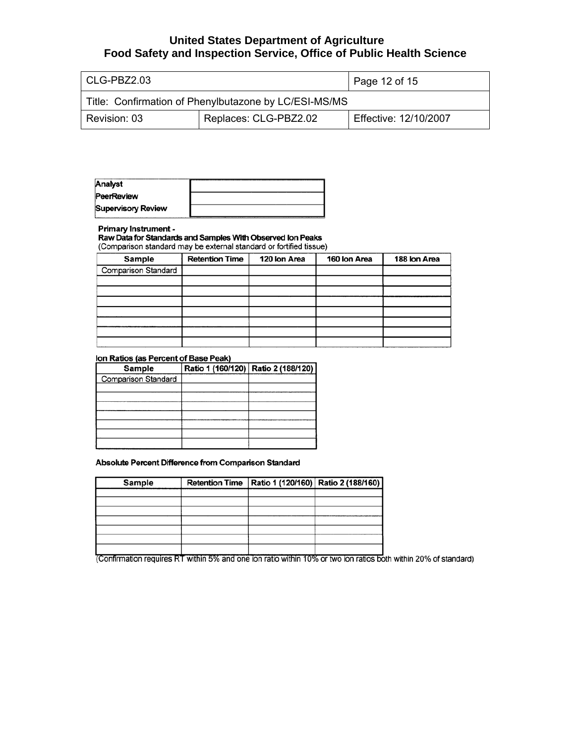| CLG-PBZ2.03                                           |                       | Page 12 of 15         |
|-------------------------------------------------------|-----------------------|-----------------------|
| Title: Confirmation of Phenylbutazone by LC/ESI-MS/MS |                       |                       |
| Revision: 03                                          | Replaces: CLG-PBZ2.02 | Effective: 12/10/2007 |

| Analyst                   |  |
|---------------------------|--|
| PeerReview                |  |
| <b>Supervisory Review</b> |  |

Primary Instrument -<br>Raw Data for Standards and Samples With Observed Ion Peaks

(Comparison standard may be external standard or fortified tissue)

| Sample                     | <b>Retention Time</b> | 120 Ion Area | 160 Ion Area | 188 Ion Area |
|----------------------------|-----------------------|--------------|--------------|--------------|
| <b>Comparison Standard</b> |                       |              |              |              |
|                            |                       |              |              |              |
|                            |                       |              |              |              |
|                            |                       |              |              |              |
|                            |                       |              |              |              |
|                            |                       |              |              |              |
|                            |                       |              |              |              |
|                            |                       |              |              |              |

### Ion Ratios (as Percent of Base Peak)

| Sample                     | Ratio 1 (160/120) Ratio 2 (188/120) |
|----------------------------|-------------------------------------|
| <b>Comparison Standard</b> |                                     |
|                            |                                     |
|                            |                                     |
|                            |                                     |
|                            |                                     |
|                            |                                     |
|                            |                                     |
|                            |                                     |

### Absolute Percent Difference from Comparison Standard

| Sample | Retention Time   Ratio 1 (120/160)   Ratio 2 (188/160) |  |
|--------|--------------------------------------------------------|--|
|        |                                                        |  |
|        |                                                        |  |
|        |                                                        |  |
|        |                                                        |  |
|        |                                                        |  |
|        |                                                        |  |
|        |                                                        |  |

(Confirmation requires RT within 5% and one ion ratio within 10% or two ion ratios both within 20% of standard)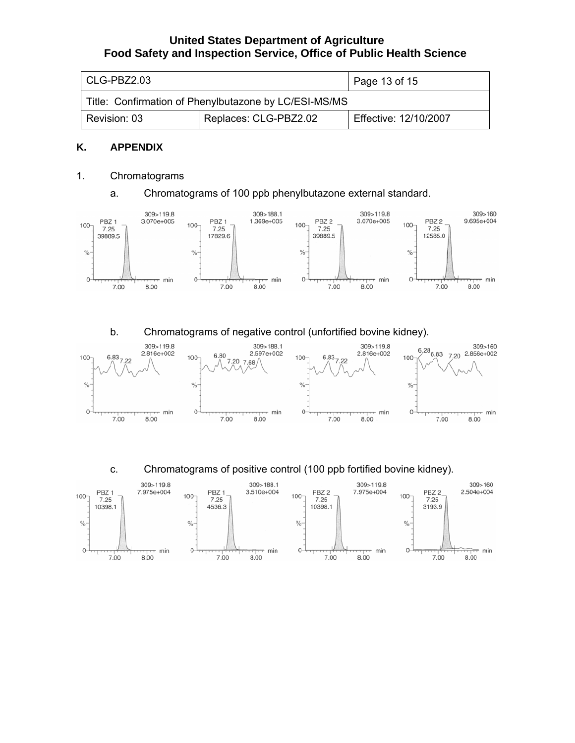| l CLG-PBZ2.03                                         |                       | Page 13 of 15         |  |  |
|-------------------------------------------------------|-----------------------|-----------------------|--|--|
| Title: Confirmation of Phenylbutazone by LC/ESI-MS/MS |                       |                       |  |  |
| Revision: 03                                          | Replaces: CLG-PBZ2.02 | Effective: 12/10/2007 |  |  |

### **K. APPENDIX**

### 1. Chromatograms

### a. Chromatograms of 100 ppb phenylbutazone external standard.



### b. Chromatograms of negative control (unfortified bovine kidney).



c. Chromatograms of positive control (100 ppb fortified bovine kidney).

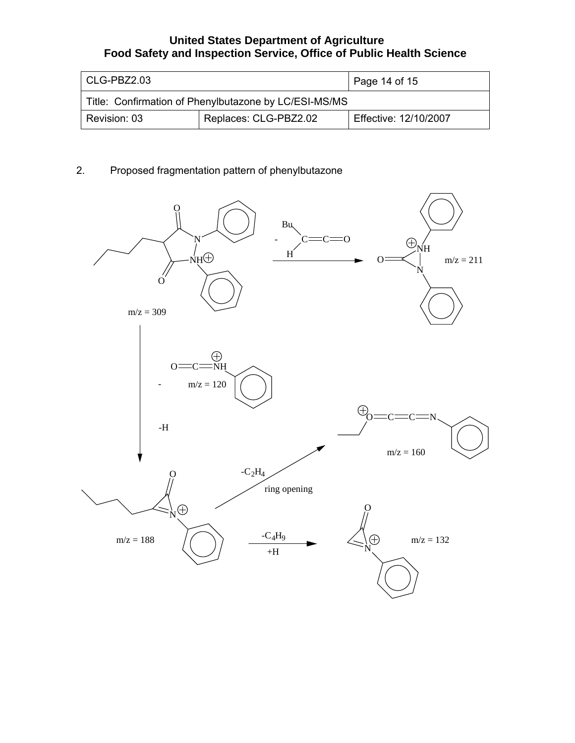| l CLG-PBZ2.03                                         |                       | Page 14 of 15         |  |  |
|-------------------------------------------------------|-----------------------|-----------------------|--|--|
| Title: Confirmation of Phenylbutazone by LC/ESI-MS/MS |                       |                       |  |  |
| Revision: 03                                          | Replaces: CLG-PBZ2.02 | Effective: 12/10/2007 |  |  |

2. Proposed fragmentation pattern of phenylbutazone